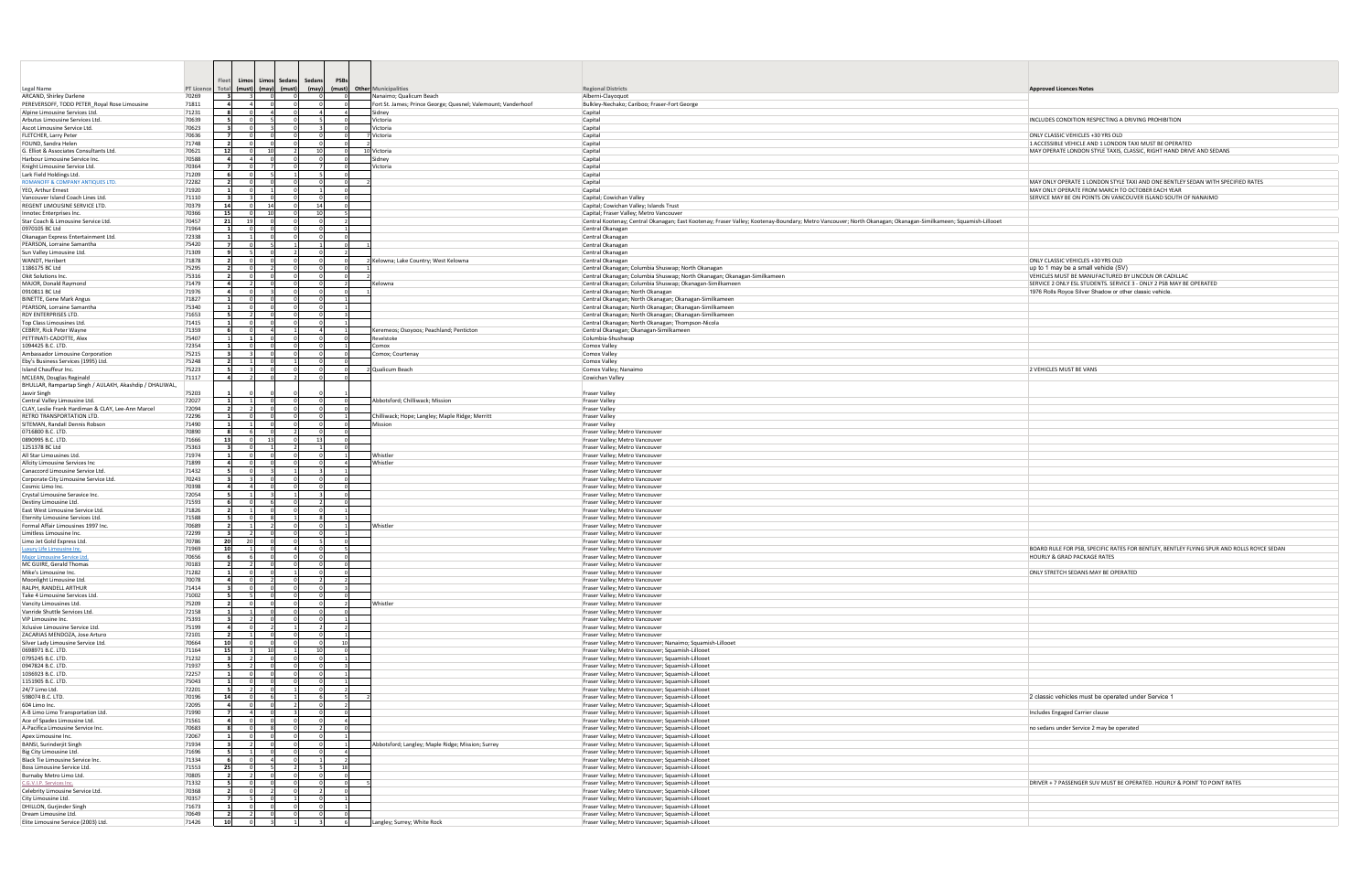|                                                                                     |                     | Limos<br>-leet                   | Limos<br>Sedans | Sedans<br><b>PSB</b>    |                 |                                                               |                                                                                                                                                               |                                                                                                                                 |
|-------------------------------------------------------------------------------------|---------------------|----------------------------------|-----------------|-------------------------|-----------------|---------------------------------------------------------------|---------------------------------------------------------------------------------------------------------------------------------------------------------------|---------------------------------------------------------------------------------------------------------------------------------|
| Legal Name<br>ARCAND, Shirley Darlene                                               | PT Licence<br>70269 | Total<br>(must)                  | (may)<br>(must) | (max)                   |                 | (must) Other Municipalities<br>Nanaimo; Qualicum Beach        | <b>Regional Districts</b><br>Alberni-Clayoquot                                                                                                                | <b>Approved Licences Notes</b>                                                                                                  |
| PEREVERSOFF, TODD PETER_Royal Rose Limousine                                        | 71811               | $\overline{4}$<br>$\Delta$       |                 |                         |                 | Fort St. James; Prince George; Quesnel; Valemount; Vanderhoof | Bulkley-Nechako; Cariboo; Fraser-Fort George                                                                                                                  |                                                                                                                                 |
| Alpine Limousine Services Ltd.<br>Arbutus Limousine Services Ltd.                   | 71231<br>70639      | - 81                             |                 |                         | $\overline{a}$  | Sidney<br>lictoria                                            | Capital<br>Capital                                                                                                                                            |                                                                                                                                 |
| Ascot Limousine Service Ltd.                                                        | 70623               | $\overline{\mathbf{3}}$          |                 |                         |                 | Victoria                                                      | Capital                                                                                                                                                       | INCLUDES CONDITION RESPECTING A DRIVING PROHIBITION                                                                             |
| FLETCHER, Larry Peter                                                               | 70636               |                                  |                 |                         |                 | Victoria                                                      | Capital                                                                                                                                                       | ONLY CLASSIC VEHICLES +30 YRS OLD                                                                                               |
| FOUND, Sandra Helen<br>G. Elliot & Associates Consultants Ltd.                      | 71748<br>70621      | $\overline{2}$<br>12             | 10              | 10 <sup>1</sup>         | $\circ$         | 10 Victoria                                                   | Capital<br>Capital                                                                                                                                            | 1 ACCESSIBLE VEHICLE AND 1 LONDON TAXI MUST BE OPERATED<br>MAY OPERATE LONDON STYLE TAXIS, CLASSIC, RIGHT HAND DRIVE AND SEDANS |
| Harbour Limousine Service Inc                                                       | 70588               | $\overline{\mathbf{4}}$          |                 |                         |                 | Sidney                                                        | Capital                                                                                                                                                       |                                                                                                                                 |
| Knight Limousine Service Ltd.                                                       | 70364               | $\overline{7}$                   |                 |                         | $\Omega$        | Victoria                                                      | Capital                                                                                                                                                       |                                                                                                                                 |
| Lark Field Holdings Ltd.<br>ROMANOFF & COMPANY ANTIQUES LTD                         | 71209<br>72282      | - 61                             |                 |                         |                 |                                                               | Capital<br>Capital                                                                                                                                            | MAY ONLY OPERATE 1 LONDON STYLE TAXI AND ONE BENTLEY SEDAN WITH SPECIFIED RATES                                                 |
| YEO, Arthur Ernest                                                                  | 71920               |                                  |                 |                         |                 |                                                               | Capital                                                                                                                                                       | MAY ONLY OPERATE FROM MARCH TO OCTOBER EACH YEAR                                                                                |
| Vancouver Island Coach Lines Ltd.                                                   | 71110               |                                  |                 |                         |                 |                                                               | Capital; Cowichan Valley                                                                                                                                      | SERVICE MAY BE ON POINTS ON VANCOUVER ISLAND SOUTH OF NANAIMO                                                                   |
| REGENT LIMOUSINE SERVICE LTD.<br>Innotec Enterprises Inc.                           | 70379<br>70366      | 14<br>15                         | 10              | 14<br>10 <sup>1</sup>   |                 |                                                               | Capital; Cowichan Valley; Islands Trust<br>Capital; Fraser Valley; Metro Vancouver                                                                            |                                                                                                                                 |
| Star Coach & Limousine Service Ltd.                                                 | 70457               | 21                               |                 |                         |                 |                                                               | Central Kootenay; Central Okanagan; East Kootenay; Fraser Valley; Kootenay-Boundary; Metro Vancouver; North Okanagan; Okanagan-Similkameen; Squamish-Lillooet |                                                                                                                                 |
| 0970105 BC Ltd                                                                      | 71964               | $\mathbf{1}$                     |                 |                         |                 |                                                               | Central Okanagar                                                                                                                                              |                                                                                                                                 |
| Okanagan Express Entertainment Ltd.<br>PEARSON, Lorraine Samantha                   | 72338<br>75420      | $\blacksquare$                   | $\Omega$        | $\Omega$                | $\Omega$        |                                                               | Central Okanagan<br>Central Okanagan                                                                                                                          |                                                                                                                                 |
| Sun Valley Limousine Ltd.                                                           | 71309               |                                  |                 |                         |                 |                                                               | Central Okanagan                                                                                                                                              |                                                                                                                                 |
| WANDT, Heribert                                                                     | 71878               | $\overline{2}$                   |                 |                         |                 | Kelowna; Lake Country; West Kelowna                           | Central Okanagan                                                                                                                                              | ONLY CLASSIC VEHICLES +30 YRS OLD                                                                                               |
| 1186175 BC Ltd<br>Okit Solutions Inc.                                               | 75295<br>75316      | $\overline{2}$                   |                 | $\Omega$                | $\Omega$        |                                                               | Central Okanagan; Columbia Shuswap; North Okanagan<br>Central Okanagan; Columbia Shuswap; North Okanagan; Okanagan-Similkameen                                | $\mu$ to 1 may be a small vehicle (SV)<br>VEHICLES MUST BE MANUFACTURED BY LINCOLN OR CADILLAC                                  |
| MAJOR, Donald Raymond                                                               | 71479               |                                  |                 |                         |                 | Kelowna                                                       | Central Okanagan; Columbia Shuswap; Okanagan-Similkameen                                                                                                      | SERVICE 2 ONLY ESL STUDENTS. SERVICE 3 - ONLY 2 PSB MAY BE OPERATED                                                             |
| 0910811 BC Ltd                                                                      | 71976               |                                  |                 |                         |                 |                                                               | Central Okanagan; North Okanagan                                                                                                                              | 1976 Rolls Royce Silver Shadow or other classic vehicle.                                                                        |
| <b>BINETTE, Gene Mark Angus</b><br>PEARSON, Lorraine Samantha                       | 71827<br>75340      | $\mathbf{1}$<br>$\overline{1}$   |                 |                         |                 |                                                               | Central Okanagan; North Okanagan; Okanagan-Similkameen<br>Central Okanagan; North Okanagan; Okanagan-Similkameen                                              |                                                                                                                                 |
| RDY ENTERPRISES LTD.                                                                | 71653               | - 51                             |                 |                         |                 |                                                               | Central Okanagan; North Okanagan; Okanagan-Similkameen                                                                                                        |                                                                                                                                 |
| Top Class Limousines Ltd.                                                           | 71415               | $\mathbf{1}$                     |                 |                         |                 |                                                               | Central Okanagan; North Okanagan; Thompson-Nicola                                                                                                             |                                                                                                                                 |
| CEBRIY, Rick Peter Wayne<br>PETTINATI-CADOTTE, Alex                                 | 71359<br>75407      |                                  |                 | $\overline{a}$          | $\Omega$        | Keremeos; Osoyoos; Peachland; Penticton                       | Central Okanagan; Okanagan-Similkameen                                                                                                                        |                                                                                                                                 |
| 1094425 B.C. LTD.                                                                   | 72354               |                                  |                 |                         |                 | Revelstoke<br>`omox                                           | Columbia-Shushwap<br>Comox Valley                                                                                                                             |                                                                                                                                 |
| Ambassador Limousine Corporation                                                    | 75215               |                                  |                 | $\Omega$                | $\Omega$        | omox; Courtenay                                               | Comox Valley                                                                                                                                                  |                                                                                                                                 |
| Eby's Business Services (1995) Ltd.                                                 | 75248               |                                  |                 |                         |                 |                                                               | Comox Valley                                                                                                                                                  |                                                                                                                                 |
| Island Chauffeur Inc.<br>MCLEAN, Douglas Reginald                                   | 75223<br>71117      |                                  |                 |                         | $\Omega$        | Qualicum Beach                                                | Comox Valley; Nanaimo<br>Cowichan Valley                                                                                                                      | 2 VEHICLES MUST BE VANS                                                                                                         |
| BHULLAR, Rampartap Singh / AULAKH, Akashdip / DHALIWAL                              |                     |                                  |                 |                         |                 |                                                               |                                                                                                                                                               |                                                                                                                                 |
| Jasvir Singh                                                                        | 75203               |                                  |                 |                         |                 |                                                               | <b>Fraser Valley</b>                                                                                                                                          |                                                                                                                                 |
| Central Valley Limousine Ltd.<br>CLAY, Leslie Frank Hardiman & CLAY, Lee-Ann Marcel | 72027<br>72094      |                                  |                 |                         |                 | Abbotsford; Chilliwack; Mission                               | <b>Fraser Valley</b><br><b>Fraser Valley</b>                                                                                                                  |                                                                                                                                 |
| RETRO TRANSPORTATION LTD.                                                           | 72296               |                                  |                 |                         |                 | hilliwack; Hope; Langley; Maple Ridge; Merritt                | <b>Fraser Valley</b>                                                                                                                                          |                                                                                                                                 |
| SITEMAN, Randall Dennis Robson                                                      | 71490               |                                  |                 |                         |                 | Mission                                                       | <b>Fraser Valley</b>                                                                                                                                          |                                                                                                                                 |
| 0716800 B.C. LTD.<br>0890995 B.C. LTD.                                              | 70890<br>71666      | 13                               | 13              | 13                      |                 |                                                               | Fraser Valley; Metro Vancouver<br>Fraser Valley; Metro Vancouver                                                                                              |                                                                                                                                 |
| 1251378 BC Ltd                                                                      | 75363               |                                  |                 |                         |                 |                                                               | Fraser Valley; Metro Vancouver                                                                                                                                |                                                                                                                                 |
| All Star Limousines Ltd.                                                            | 71974               | $\mathbf{1}$                     |                 |                         |                 | Whistler                                                      | Fraser Valley; Metro Vancouver                                                                                                                                |                                                                                                                                 |
| Allcity Limousine Services Inc                                                      | 71899<br>71432      |                                  |                 |                         |                 | Whistler                                                      | Fraser Valley; Metro Vancouver                                                                                                                                |                                                                                                                                 |
| Canaccord Limousine Service Ltd.<br>Corporate City Limousine Service Ltd.           | 70243               |                                  |                 |                         |                 |                                                               | Fraser Valley; Metro Vancouver<br>Fraser Valley; Metro Vancouver                                                                                              |                                                                                                                                 |
| Cosmic Limo Inc.                                                                    | 70398               |                                  |                 |                         |                 |                                                               | Fraser Valley; Metro Vancouver                                                                                                                                |                                                                                                                                 |
| Crystal Limousine Seravice Inc.                                                     | 72054               |                                  |                 |                         |                 |                                                               | Fraser Valley; Metro Vancouver                                                                                                                                |                                                                                                                                 |
| Destiny Limousine Ltd.<br>East West Limousine Service Ltd.                          | 71593<br>71826      | $\overline{2}$                   |                 |                         |                 |                                                               | Fraser Valley; Metro Vancouver<br>Fraser Valley; Metro Vancouver                                                                                              |                                                                                                                                 |
| Eternity Limousine Services Ltd.                                                    | 71588               |                                  |                 |                         |                 |                                                               | Fraser Valley; Metro Vancouver                                                                                                                                |                                                                                                                                 |
| Formal Affair Limousines 1997 Inc.                                                  | 70689               | $\overline{2}$                   |                 | $\Omega$                |                 | Whistler                                                      | Fraser Valley; Metro Vancouver                                                                                                                                |                                                                                                                                 |
| Limitless Limousine Inc.<br>Limo Jet Gold Express Ltd                               | 72299<br>70786      | 20                               |                 |                         |                 |                                                               | Fraser Valley; Metro Vancouver<br>Fraser Valley; Metro Vancouver                                                                                              |                                                                                                                                 |
| Luxury Life Limousine Inc.                                                          | 71969               | 10                               |                 |                         |                 |                                                               | Fraser Valley; Metro Vancouver                                                                                                                                | BOARD RULE FOR PSB, SPECIFIC RATES FOR BENTLEY, BENTLEY FLYING SPUR AND ROLLS ROYO                                              |
| <b>Major Limousine Service Ltd.</b>                                                 | 70656               |                                  |                 |                         |                 |                                                               | Fraser Valley; Metro Vancouver                                                                                                                                | <b>HOURLY &amp; GRAD PACKAGE RATES</b>                                                                                          |
| MC GUIRE, Gerald Thomas<br>Mike's Limousine Inc.                                    | 70183<br>71282      |                                  |                 |                         |                 |                                                               | Fraser Valley; Metro Vancouver<br>Fraser Valley; Metro Vancouver                                                                                              | ONLY STRETCH SEDANS MAY BE OPERATED                                                                                             |
| Moonlight Limousine Ltd.                                                            | 70078               | $\overline{a}$                   |                 |                         |                 |                                                               | Fraser Valley; Metro Vancouver                                                                                                                                |                                                                                                                                 |
| RALPH, RANDELL ARTHUR                                                               | 71414               |                                  |                 |                         |                 |                                                               | Fraser Valley; Metro Vancouver                                                                                                                                |                                                                                                                                 |
| Take 4 Limousine Services Ltd.                                                      | 71002               | $\overline{2}$                   |                 |                         |                 |                                                               | Fraser Valley; Metro Vancouver                                                                                                                                |                                                                                                                                 |
| Vancity Limousines Ltd.<br>Vanride Shuttle Services Ltd.                            | 75209<br>72158      | $\mathbf{1}$                     |                 |                         |                 | Whistler                                                      | Fraser Valley; Metro Vancouver<br>Fraser Valley; Metro Vancouver                                                                                              |                                                                                                                                 |
| VIP Limousine Inc.                                                                  | 75393               |                                  |                 |                         |                 |                                                               | Fraser Valley; Metro Vancouver                                                                                                                                |                                                                                                                                 |
| Xclusive Limousine Service Ltd.                                                     | 75199               | $\overline{4}$<br>$\overline{2}$ |                 |                         |                 |                                                               | Fraser Valley; Metro Vancouver                                                                                                                                |                                                                                                                                 |
| ZACARIAS MENDOZA, Jose Arturo<br>Silver Lady Limousine Service Ltd.                 | 72101<br>70664      | 10                               |                 |                         | 10 <sup>1</sup> |                                                               | Fraser Valley; Metro Vancouver<br>Fraser Valley; Metro Vancouver; Nanaimo; Squamish-Lillooet                                                                  |                                                                                                                                 |
| 0698971 B.C. LTD.                                                                   | 71164               | 15                               | 10              | 10 <sup>1</sup>         | $\Omega$        |                                                               | Fraser Valley; Metro Vancouver; Squamish-Lillooet                                                                                                             |                                                                                                                                 |
| 0795245 B.C. LTD.                                                                   | 71232               |                                  |                 |                         |                 |                                                               | Fraser Valley; Metro Vancouver; Squamish-Lillooet                                                                                                             |                                                                                                                                 |
| 0947824 B.C. LTD.<br>1036923 B.C. LTD.                                              | 71937<br>72257      |                                  |                 |                         |                 |                                                               | Fraser Valley; Metro Vancouver; Squamish-Lillooet<br>Fraser Valley; Metro Vancouver; Squamish-Lillooet                                                        |                                                                                                                                 |
| 1151905 B.C. LTD.                                                                   | 75043               | $\blacksquare$                   |                 |                         |                 |                                                               | Fraser Valley; Metro Vancouver; Squamish-Lillooet                                                                                                             |                                                                                                                                 |
| 24/7 Limo Ltd.                                                                      | 72201               |                                  |                 |                         |                 |                                                               | Fraser Valley; Metro Vancouver; Squamish-Lillooet                                                                                                             |                                                                                                                                 |
| 598074 B.C. LTD.<br>604 Limo Inc.                                                   | 70196<br>72095      | 14<br>$\overline{a}$             |                 |                         |                 |                                                               | Fraser Valley; Metro Vancouver; Squamish-Lillooet<br>Fraser Valley; Metro Vancouver; Squamish-Lillooet                                                        | 2 classic vehicles must be operated under Service 1                                                                             |
| A-B Limo Limo Transportation Ltd.                                                   | 71990               | $\overline{7}$                   |                 |                         |                 |                                                               | Fraser Valley; Metro Vancouver; Squamish-Lillooet                                                                                                             | Includes Engaged Carrier clause                                                                                                 |
| Ace of Spades Limousine Ltd.                                                        | 71561               |                                  |                 |                         |                 |                                                               | Fraser Valley; Metro Vancouver; Squamish-Lillooet                                                                                                             |                                                                                                                                 |
| A-Pacifica Limousine Service Inc.                                                   | 70683<br>72067      | $\mathbf{1}$                     | $\Omega$        | $\Omega$                | $\overline{1}$  |                                                               | Fraser Valley; Metro Vancouver; Squamish-Lillooet                                                                                                             | no sedans under Service 2 may be operated                                                                                       |
| Apex Limousine Inc.<br>BANSI, Surinderjit Singh                                     | 71934               | $\overline{\mathbf{3}}$          |                 |                         |                 | Abbotsford; Langley; Maple Ridge; Mission; Surrey             | Fraser Valley; Metro Vancouver; Squamish-Lillooet<br>Fraser Valley; Metro Vancouver; Squamish-Lillooet                                                        |                                                                                                                                 |
| Big City Limousine Ltd.                                                             | 71696               | - 51                             |                 |                         | ΔI              |                                                               | Fraser Valley; Metro Vancouver; Squamish-Lillooet                                                                                                             |                                                                                                                                 |
| Black Tie Limousine Service Inc.                                                    | 71334               | - 6                              |                 |                         | $\overline{2}$  |                                                               | Fraser Valley; Metro Vancouver; Squamish-Lillooet                                                                                                             |                                                                                                                                 |
| Boss Limousine Service Ltd.<br>Burnaby Metro Limo Ltd.                              | 71553<br>70805      | 25<br>$\overline{2}$             |                 |                         | 18              |                                                               | Fraser Valley; Metro Vancouver; Squamish-Lillooet<br>Fraser Valley; Metro Vancouver; Squamish-Lillooet                                                        |                                                                                                                                 |
| C.G.V.I.P. Services Inc.                                                            | 71332               |                                  |                 |                         |                 |                                                               | Fraser Valley; Metro Vancouver; Squamish-Lillooet                                                                                                             | DRIVER + 7 PASSENGER SUV MUST BE OPERATED. HOURLY & POINT TO POINT RATES                                                        |
| Celebrity Limousine Service Ltd.                                                    | 70368               |                                  |                 |                         |                 |                                                               | Fraser Valley; Metro Vancouver; Squamish-Lillooet                                                                                                             |                                                                                                                                 |
| City Limousine Ltd.<br>DHILLON, Gurjinder Singh                                     | 70357<br>71673      | $\overline{z}$                   |                 |                         |                 |                                                               | Fraser Valley; Metro Vancouver; Squamish-Lillooet<br>Fraser Valley; Metro Vancouver; Squamish-Lillooet                                                        |                                                                                                                                 |
| Dream Limousine Ltd.                                                                | 70649               |                                  |                 |                         |                 |                                                               | Fraser Valley; Metro Vancouver; Squamish-Lillooet                                                                                                             |                                                                                                                                 |
| Elite Limousine Service (2003) Ltd.                                                 | 71426               | 10                               |                 | $\overline{\mathbf{3}}$ | 6               | Langley; Surrey; White Rock                                   | Fraser Valley; Metro Vancouver; Squamish-Lillooet                                                                                                             |                                                                                                                                 |

| <b>Approved Licences Note:</b> |  |  |
|--------------------------------|--|--|
|--------------------------------|--|--|

BOARD RULE FOR PSB, SPECIFIC RATES FOR BENTLEY, BENTLEY FLYING SPUR AND ROLLS ROYCE SEDAN<br>HOURLY & GRAD PACKAGE RATES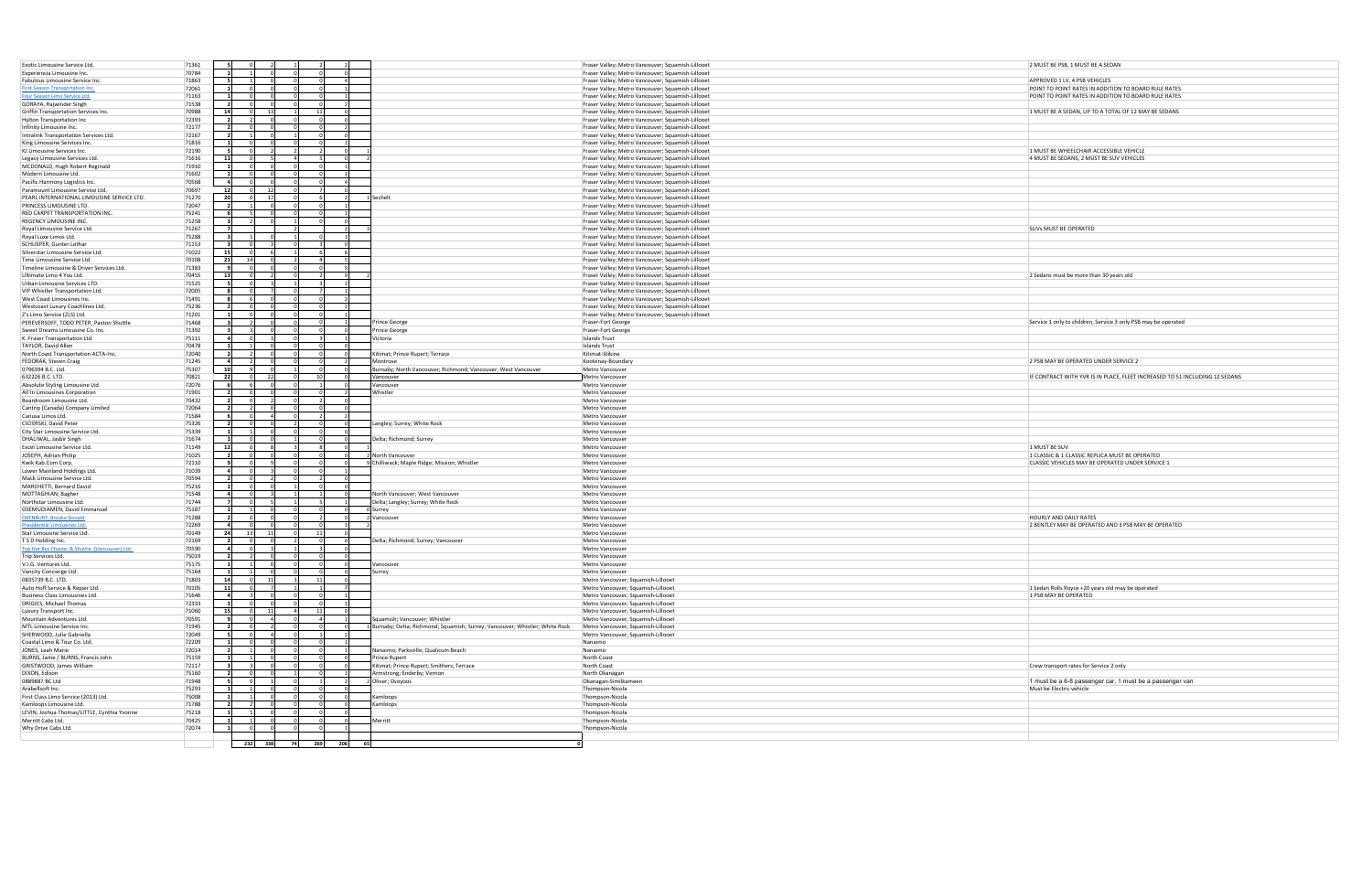| Exotic Limousine Service Ltd.                  | 71361 |                |                |                |            |                                                                             | Fraser Valley; Metro Vancouver; Squamish-Lillooet | 2 MUST BE PSB, 1 MUST BE A SEDAN                                            |
|------------------------------------------------|-------|----------------|----------------|----------------|------------|-----------------------------------------------------------------------------|---------------------------------------------------|-----------------------------------------------------------------------------|
| Experiencia Limousine Inc.                     | 70784 |                |                |                |            |                                                                             | Fraser Valley; Metro Vancouver; Squamish-Lillooet |                                                                             |
| Fabulous Limousine Service Inc.                | 71863 |                |                |                |            |                                                                             | Fraser Valley; Metro Vancouver; Squamish-Lillooet | APPROVED 1 LV, 4 PSB VEHICLES                                               |
| <b>First Season Transportation Inc</b>         | 72061 |                |                |                |            |                                                                             | Fraser Valley; Metro Vancouver; Squamish-Lillooet | POINT TO POINT RATES IN ADDITION TO BOARD RULE RATES                        |
| Four Season Limo Service Ltd                   | 71163 |                |                |                |            |                                                                             | Fraser Valley; Metro Vancouver; Squamish-Lillooet | POINT TO POINT RATES IN ADDITION TO BOARD RULE RATES                        |
| GORAYA, Rajwinder Singh                        | 71538 | $\overline{2}$ |                |                |            |                                                                             | Fraser Valley; Metro Vancouver; Squamish-Lillooet |                                                                             |
| Griffin Transportation Services Inc.           | 70988 | 14             | $\cap$<br>- 13 |                | - 11       |                                                                             | Fraser Valley; Metro Vancouver; Squamish-Lillooet | 1 MUST BE A SEDAN, UP TO A TOTAL OF 12 MAY BE SEDANS                        |
| Hylton Transportation Inc                      | 72393 |                |                |                |            |                                                                             | Fraser Valley; Metro Vancouver; Squamish-Lillooet |                                                                             |
| Infinity Limousine Inc.                        | 72177 | -21            |                |                |            |                                                                             | Fraser Valley; Metro Vancouver; Squamish-Lillooet |                                                                             |
|                                                | 72167 |                |                |                |            |                                                                             | Fraser Valley; Metro Vancouver; Squamish-Lillooet |                                                                             |
| Intralink Transportation Services Ltd.         |       |                |                |                |            |                                                                             |                                                   |                                                                             |
| King Limousine Services Inc.                   | 71816 |                |                |                |            |                                                                             | Fraser Valley; Metro Vancouver; Squamish-Lillooet |                                                                             |
| KJ Limousine Services Inc.                     | 72190 |                |                |                |            |                                                                             | Fraser Valley; Metro Vancouver; Squamish-Lillooet | 1 MUST BE WHEELCHAIR ACCESSIBLE VEHICLE                                     |
| Legacy Limousine Services Ltd.                 | 71616 | 11             | $\cap$         | $\Lambda$      |            |                                                                             | Fraser Valley; Metro Vancouver; Squamish-Lillooet | 4 MUST BE SEDANS, 2 MUST BE SUV VEHICLES                                    |
| MCDONALD, Hugh Robert Reginald                 | 71910 |                |                |                |            |                                                                             | Fraser Valley; Metro Vancouver; Squamish-Lillooet |                                                                             |
| Modern Limousine Ltd.                          | 71602 |                |                |                |            |                                                                             | Fraser Valley; Metro Vancouver; Squamish-Lillooet |                                                                             |
| Pacific Harmony Logistics Inc.                 | 70568 | $\overline{4}$ |                |                |            |                                                                             | Fraser Valley; Metro Vancouver; Squamish-Lillooet |                                                                             |
| Paramount Limousine Service Ltd.               | 70697 | 12             | 12             |                |            |                                                                             | Fraser Valley; Metro Vancouver; Squamish-Lillooet |                                                                             |
| PEARL INTERNATIONAL LIMOUSINE SERVICE LTD.     | 71270 | 20             | 17             |                |            | Sechelt                                                                     | Fraser Valley; Metro Vancouver; Squamish-Lillooet |                                                                             |
| PRINCESS LIMOUSINE LTD.                        | 72047 | $\overline{2}$ | $\Omega$       | $\Omega$       |            |                                                                             |                                                   |                                                                             |
|                                                |       |                |                |                |            |                                                                             | Fraser Valley; Metro Vancouver; Squamish-Lillooet |                                                                             |
| RED CARPET TRANSPORTATION INC.                 | 75241 |                |                |                |            |                                                                             | Fraser Valley; Metro Vancouver; Squamish-Lillooet |                                                                             |
| REGENCY LIMOUSINE INC.                         | 71258 |                |                |                |            |                                                                             | Fraser Valley; Metro Vancouver; Squamish-Lillooet |                                                                             |
| Royal Limousine Service Ltd.                   | 71267 | $\overline{7}$ |                |                |            |                                                                             | Fraser Valley; Metro Vancouver; Squamish-Lillooet | <b>SUVs MUST BE OPERATED</b>                                                |
| Royal Luxe Limos Ltd.                          | 75288 |                |                |                |            |                                                                             | Fraser Valley; Metro Vancouver; Squamish-Lillooet |                                                                             |
| SCHLIEPER, Gunter Lothar                       | 71153 |                |                |                |            |                                                                             | Fraser Valley; Metro Vancouver; Squamish-Lillooet |                                                                             |
| Silverstar Limousine Service Ltd.              | 71022 | 15             |                |                |            |                                                                             | Fraser Valley; Metro Vancouver; Squamish-Lillooet |                                                                             |
| Time Limousine Service Ltd.                    | 70108 | 21<br>14       |                |                |            |                                                                             | Fraser Valley; Metro Vancouver; Squamish-Lillooet |                                                                             |
| Timeline Limousine & Driver Services Ltd.      | 71383 | $\mathbf{q}$   |                |                |            |                                                                             | Fraser Valley; Metro Vancouver; Squamish-Lillooet |                                                                             |
| Ultimate Limo 4 You Ltd.                       | 70455 | 13             |                |                |            |                                                                             | Fraser Valley; Metro Vancouver; Squamish-Lillooet | 2 Sedans must be more than 30 years old                                     |
|                                                |       |                |                |                |            |                                                                             |                                                   |                                                                             |
| Urban Limousine Services LTD.                  | 71525 |                |                |                |            |                                                                             | Fraser Valley; Metro Vancouver; Squamish-Lillooet |                                                                             |
| VIP Whistler Transportation Ltd.               | 72005 | -81            |                |                |            |                                                                             | Fraser Valley; Metro Vancouver; Squamish-Lillooet |                                                                             |
| West Coast Limousines Inc.                     | 71491 | -81            |                |                |            |                                                                             | Fraser Valley; Metro Vancouver; Squamish-Lillooet |                                                                             |
| Westcoast Luxury Coachlines Ltd.               | 75236 |                |                |                |            |                                                                             | Fraser Valley; Metro Vancouver; Squamish-Lillooet |                                                                             |
| Z's Limo Service (ZLS) Ltd.                    | 71201 |                |                |                |            |                                                                             | Fraser Valley; Metro Vancouver; Squamish-Lillooet |                                                                             |
| PEREVERSOFF, TODD PETER Paxton Shuttle         | 71468 |                |                |                |            | Prince George                                                               | Fraser-Fort George                                | Service 1 only to children, Service 3 only PSB may be operated              |
| Sweet Dreams Limousine Co. Inc                 | 71392 |                |                |                |            | Prince George                                                               | Fraser-Fort George                                |                                                                             |
| K. Fraser Transportation Ltd.                  | 75111 | $\mathbf{a}$   |                |                |            | /ictoria                                                                    | <b>Islands Trust</b>                              |                                                                             |
|                                                | 70478 |                |                |                |            |                                                                             |                                                   |                                                                             |
| TAYLOR, David Allen                            |       |                |                |                |            |                                                                             | Islands Trust                                     |                                                                             |
| North Coast Transportation ACTA-Inc.           | 72040 | $\overline{2}$ |                |                |            | Kitimat; Prince Rupert; Terrace                                             | Kitimat-Stikine                                   |                                                                             |
| FEDORAK, Steven Craig                          | 71245 | $\overline{4}$ |                |                |            | Montrose                                                                    | Kootenay-Boundary                                 | 2 PSB MAY BE OPERATED UNDER SERVICE 2                                       |
| 0796394 B.C. Ltd.                              | 75307 | 10             |                |                |            | Burnaby: North Vancouver: Richmond: Vancouver: West Vancouver               | Metro Vancouve                                    |                                                                             |
| 632226 B.C. LTD.                               | 70821 | 22             |                |                |            | Vancouver                                                                   | Metro Vancouver                                   | IF CONTRACT WITH YVR IS IN PLACE, FLEET INCREASED TO 51 INCLUDING 12 SEDANS |
| Absolute Styling Limousine Ltd.                | 72076 |                |                |                |            | Vancouver                                                                   | Metro Vancouver                                   |                                                                             |
| All In Limousines Corporation                  | 71901 |                |                |                |            | Whistler                                                                    | Metro Vancouve                                    |                                                                             |
| Boardroom Limousine Ltd.                       | 70432 | $\overline{2}$ |                |                |            |                                                                             | Metro Vancouver                                   |                                                                             |
| Cantrip (Canada) Company Limited               | 72064 |                |                |                |            |                                                                             | Metro Vancouver                                   |                                                                             |
| Canusa Limos Ltd.                              | 71584 |                |                |                |            |                                                                             | Metro Vancouver                                   |                                                                             |
|                                                |       |                | $\Omega$       | $\overline{2}$ |            |                                                                             |                                                   |                                                                             |
| CICIERSKI, David Peter                         | 75326 | $\overline{2}$ |                |                |            | Langley; Surrey; White Rock                                                 | Metro Vancouver                                   |                                                                             |
| City Star Limousine Service Ltd.               | 75339 |                |                |                |            |                                                                             | Metro Vancouver                                   |                                                                             |
| DHALIWAL, Jasbir Singh                         | 71674 |                |                |                |            | Delta; Richmond; Surrey                                                     | Metro Vancouver                                   |                                                                             |
| Excel Limousine Service Ltd.                   | 71149 | 12             |                |                |            |                                                                             | Metro Vancouver                                   | 1 MUST BE SUV                                                               |
| JOSEPH, Adrian Philip                          | 71025 |                |                |                |            | North Vancouver                                                             | Metro Vancouver                                   | 1 CLASSIC & 1 CLASSIC REPLICA MUST BE OPERATED                              |
| Kwik Kab.Com Corp.                             | 72110 |                |                |                |            | Chilliwack; Maple Ridge; Mission; Whistler                                  | Metro Vancouver                                   | CLASSIC VEHICLES MAY BE OPERATED UNDER SERVICE 1                            |
| Lower Mainland Holdings Ltd.                   | 71039 | 4              |                |                |            |                                                                             | Metro Vancouver                                   |                                                                             |
| Mack Limousine Service Ltd.                    | 70594 |                |                |                |            |                                                                             | Metro Vancouver                                   |                                                                             |
| MARCHETTI, Bernard David                       | 75216 |                | $\Omega$       |                |            |                                                                             | Metro Vancouver                                   |                                                                             |
|                                                |       | $\overline{a}$ |                |                |            |                                                                             |                                                   |                                                                             |
| MOTTAGHIAN, Bagher                             | 71548 |                |                |                |            | North Vancouver; West Vancouver                                             | Metro Vancouve                                    |                                                                             |
| Northstar Limousine Ltd.                       | 71744 |                |                |                |            | Delta; Langley; Surrey; White Rock                                          | Metro Vancouver                                   |                                                                             |
| OSEMUDIAMEN, David Emmanuel                    | 75187 |                |                | $\Omega$       |            | Surrey                                                                      | Metro Vancouver                                   |                                                                             |
| <b>OXENBURY, Brooke Donald</b>                 | 71288 |                |                |                |            | Vancouver                                                                   | Metro Vancouve                                    | HOURLY AND DAILY RATES                                                      |
| <b>Presidential Limousines Ltd.</b>            | 72269 | $\overline{a}$ |                |                |            |                                                                             | Metro Vancouver                                   | 2 BENTLEY MAY BE OPERATED AND 3 PSB MAY BE OPERATED                         |
| Star Limousine Service Ltd.                    | 70149 | 24<br>13       | 11             |                |            |                                                                             | Metro Vancouver                                   |                                                                             |
| TSD Holding Inc.                               | 72169 | $\overline{2}$ |                |                |            | Delta; Richmond; Surrey; Vancouver                                          | Metro Vancouve                                    |                                                                             |
| Top Hat Bus Charter & Shuttle (Vancouver) Ltd. | 70590 | $\overline{a}$ |                |                |            |                                                                             | Metro Vancouver                                   |                                                                             |
| Trip Services Ltd.                             | 75019 |                |                | $\Omega$       |            |                                                                             | Metro Vancouver                                   |                                                                             |
| V.I.G. Ventures Ltd.                           | 75175 |                |                |                |            | ancouver                                                                    | Metro Vancouver                                   |                                                                             |
|                                                | 75164 |                |                |                |            |                                                                             | Metro Vancouver                                   |                                                                             |
| Vancity Concierge Ltd.                         |       |                |                |                |            | Surrey                                                                      |                                                   |                                                                             |
| 0835739 B.C. LTD.                              | 71803 | 14             | 11             |                |            |                                                                             | Metro Vancouver; Squamish-Lillooet                |                                                                             |
| Auto Hoff Service & Repair Ltd.                | 70105 | 11             |                |                |            |                                                                             | Metro Vancouver; Squamish-Lillooet                | 1 Sedan Rolls Royce +20 years old may be operated                           |
| <b>Business Class Limousines Ltd</b>           | 71646 | $\overline{a}$ |                |                |            |                                                                             | Metro Vancouver; Squamish-Lillooet                | 1 PSB MAY BE OPERATED                                                       |
| DRIGICS, Michael Thomas                        | 72333 |                |                | $\cap$         |            |                                                                             | Metro Vancouver; Squamish-Lillooet                |                                                                             |
| Luxury Transport Inc.                          | 71060 | 15             | 11<br>$\Omega$ | $\overline{4}$ | - 11       |                                                                             | Metro Vancouver; Squamish-Lillooet                |                                                                             |
| Mountain Adventures Ltd.                       | 70591 | - 91           |                | $\Omega$       |            | Squamish; Vancouver; Whistler                                               | Metro Vancouver; Squamish-Lillooet                |                                                                             |
| MTL Limousine Service Inc.                     | 71945 | $\overline{2}$ |                |                |            | Burnaby; Delta; Richmond; Squamish; Surrey; Vancouver; Whistler; White Rock | Metro Vancouver; Squamish-Lillooet                |                                                                             |
| SHERWOOD, Julie Gabriella                      | 72049 | - 51           | $\cap$         | $\Omega$       |            |                                                                             | Metro Vancouver; Squamish-Lillooet                |                                                                             |
| Coastal Limo & Tour Co. Ltd.                   | 72209 |                |                |                |            |                                                                             | Nanaimo                                           |                                                                             |
| JONES, Leah Marie                              | 72014 |                |                |                |            | Nanaimo; Parksville; Qualicum Beach                                         | Nanaimo                                           |                                                                             |
|                                                |       |                |                |                |            |                                                                             |                                                   |                                                                             |
| BURNS, Jame / BURNS, Francis John              | 75159 |                |                |                |            | Prince Rupert                                                               | North Coast                                       |                                                                             |
| GRISTWOOD, James William                       | 72117 |                |                |                |            | Kitimat; Prince Rupert; Smithers; Terrace                                   | North Coast                                       | Crew transport rates for Service 2 only                                     |
| DIXON, Edison                                  | 75160 |                |                |                |            | Armstrong; Enderby; Vernon                                                  | North Okanagan                                    |                                                                             |
| 0889887 BC Ltd                                 | 71948 | -51            |                | $\Omega$       |            | Oliver; Osoyoos                                                             | Okanagan-Similkameen                              | 1 must be a 6-8 passenger car, 1 must be a passenger van                    |
| Arabellsoft Inc.                               | 75293 |                |                |                |            |                                                                             | Thompson-Nicola                                   | Must be Electric vehicle                                                    |
| First Class Limo Service (2013) Ltd.           | 75008 |                |                | $\Omega$       |            | Kamloops                                                                    | Thompson-Nicola                                   |                                                                             |
| Kamloops Limousine Ltd.                        | 71788 | $\overline{2}$ | $\overline{z}$ | $\Omega$       |            | Kamloops                                                                    | Thompson-Nicola                                   |                                                                             |
| LEVIN, Joshua Thomas/LITTLE, Cynthia Yvonne    | 75218 |                |                |                |            |                                                                             | Thompson-Nicola                                   |                                                                             |
| Merritt Cabs Ltd.                              | 70425 |                |                |                |            | Merritt                                                                     | Thompson-Nicola                                   |                                                                             |
|                                                |       |                |                |                |            |                                                                             |                                                   |                                                                             |
| Why Drive Cabs Ltd.                            | 72074 |                |                |                |            |                                                                             | Thompson-Nicola                                   |                                                                             |
|                                                |       |                |                |                |            |                                                                             |                                                   |                                                                             |
|                                                |       | 232            | 338            | 74             | 269<br>206 | 65                                                                          |                                                   |                                                                             |

| 2 MUST BE PSB, 1 MUST BE A SEDAN                                                     |
|--------------------------------------------------------------------------------------|
|                                                                                      |
| APPROVED 1 LV, 4 PSB VEHICLES                                                        |
| POINT TO POINT RATES IN ADDITION TO BOARD RULE RATES                                 |
| POINT TO POINT RATES IN ADDITION TO BOARD RULE RATES                                 |
| 1 MUST BE A SEDAN, UP TO A TOTAL OF 12 MAY BE SEDANS                                 |
|                                                                                      |
|                                                                                      |
|                                                                                      |
|                                                                                      |
| 1 MUST BE WHEELCHAIR ACCESSIBLE VEHICLE                                              |
| 4 MUST BE SEDANS, 2 MUST BE SUV VEHICLES                                             |
|                                                                                      |
|                                                                                      |
|                                                                                      |
|                                                                                      |
|                                                                                      |
|                                                                                      |
|                                                                                      |
| SUVs MUST BE OPERATED                                                                |
|                                                                                      |
|                                                                                      |
|                                                                                      |
|                                                                                      |
| 2 Sedans must be more than 30 years old                                              |
|                                                                                      |
|                                                                                      |
|                                                                                      |
|                                                                                      |
| Service 1 only to children, Service 3 only PSB may be operated                       |
|                                                                                      |
|                                                                                      |
|                                                                                      |
|                                                                                      |
| 2 PSB MAY BE OPERATED UNDER SERVICE 2                                                |
|                                                                                      |
| IF CONTRACT WITH YVR IS IN PLACE, FLEET INCREASED TO 51 INCLUDING 12 SEDANS          |
|                                                                                      |
|                                                                                      |
|                                                                                      |
|                                                                                      |
|                                                                                      |
|                                                                                      |
|                                                                                      |
|                                                                                      |
| 1 MUST BE SUV                                                                        |
| 1 CLASSIC & 1 CLASSIC REPLICA MUST BE OPERATED                                       |
| CLASSIC VEHICLES MAY BE OPERATED UNDER SERVICE 1                                     |
|                                                                                      |
|                                                                                      |
|                                                                                      |
|                                                                                      |
|                                                                                      |
| HOURLY AND DAILY RATES                                                               |
| 2 BENTLEY MAY BE OPERATED AND 3 PSB MAY BE OPERATED                                  |
|                                                                                      |
|                                                                                      |
|                                                                                      |
|                                                                                      |
|                                                                                      |
|                                                                                      |
| 1 Sedan Rolls Royce +20 years old may be operated                                    |
| 1 PSB MAY BE OPERATED                                                                |
|                                                                                      |
|                                                                                      |
|                                                                                      |
|                                                                                      |
|                                                                                      |
|                                                                                      |
|                                                                                      |
| Crew transport rates for Service 2 only                                              |
|                                                                                      |
| 1 must be a 6-8 passenger car, 1 must be a passenger van<br>Must be Electric vehicle |
|                                                                                      |
|                                                                                      |
|                                                                                      |
|                                                                                      |
|                                                                                      |